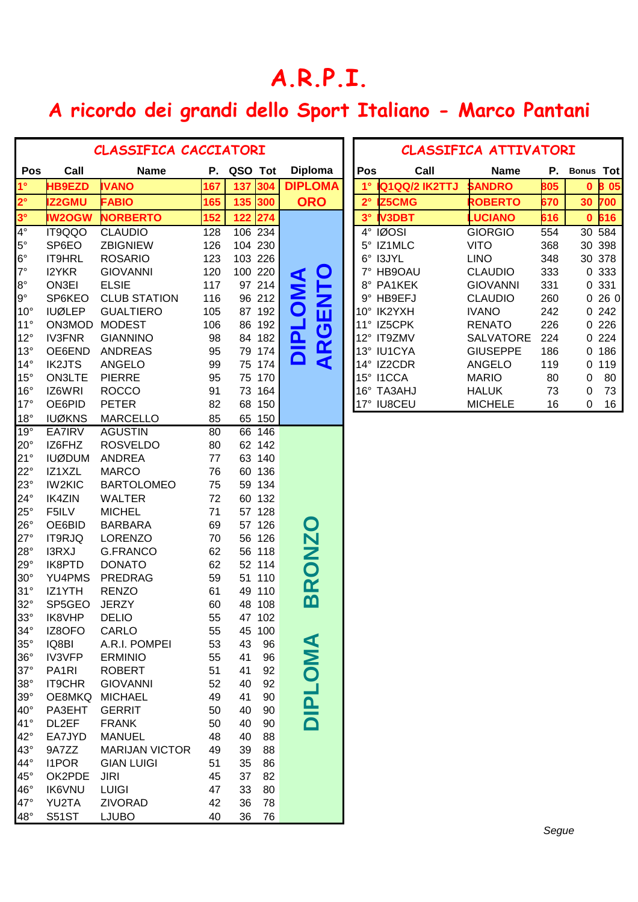## **A.R.P.I.**

## **A ricordo dei grandi dello Sport Italiano - Marco Pantani**

|                          | <b>CLASSIFICA CACCIATORI</b> |                           |          |                  |                               |  | <b>CLASSIFICA ATTIVATORI</b> |                |                  |     |                     |  |
|--------------------------|------------------------------|---------------------------|----------|------------------|-------------------------------|--|------------------------------|----------------|------------------|-----|---------------------|--|
| Pos                      | Call                         | <b>Name</b>               |          | P. QSO Tot       | <b>Diploma</b>                |  | Pos                          | Call           | <b>Name</b>      | Ρ.  | <b>Bonus Tot</b>    |  |
| 1 <sup>°</sup>           | <b>HB9EZD</b>                | <b>IVANO</b>              | 167      | 137<br>304       | <b>DIPLOMA</b>                |  | $1^{\circ}$                  | IQ1QQ/2 IK2TTJ | <b>SANDRO</b>    | 805 | 0 8 0 5             |  |
| $2^{\circ}$              | Z2GMU                        | <b>FABIO</b>              | 165      | 135 300          | <b>ORO</b>                    |  | $2^{\circ}$                  | <b>Z5CMG</b>   | <b>ROBERTO</b>   | 670 | 30<br>700           |  |
| $3^\circ$                | <b>IW2OGW</b>                | <b>NORBERTO</b>           | 152      | 122<br>274       |                               |  | 3 <sup>°</sup>               | <b>IV3DBT</b>  | <b>LUCIANO</b>   | 616 | 616<br>$\mathbf{0}$ |  |
| $4^\circ$                | IT9QQO                       | <b>CLAUDIO</b>            | 128      | 106 234          |                               |  |                              | 4° IØOSI       | <b>GIORGIO</b>   | 554 | 30 584              |  |
| $5^\circ$                | SP6EO                        | <b>ZBIGNIEW</b>           | 126      | 104 230          |                               |  | $5^{\circ}$                  | IZ1MLC         | <b>VITO</b>      | 368 | 30 398              |  |
| $6^{\circ}$              | IT9HRL                       | <b>ROSARIO</b>            | 123      | 103 226          |                               |  | $6^{\circ}$                  | I3JYL          | <b>LINO</b>      | 348 | 30 378              |  |
| $7^\circ$                | I2YKR                        | <b>GIOVANNI</b>           | 120      | 100 220          | $\mathbf O$                   |  | 7°                           | HB9OAU         | <b>CLAUDIO</b>   | 333 | 0 333               |  |
| $8^{\circ}$              | ON3EI                        | <b>ELSIE</b>              | 117      | 97 214           | <b>DIPLOMA</b><br><b>HATH</b> |  |                              | 8° PA1KEK      | <b>GIOVANNI</b>  | 331 | 0 331               |  |
| $9^\circ$                | SP6KEO                       | <b>CLUB STATION</b>       | 116      | 96 212           |                               |  |                              | 9° HB9EFJ      | <b>CLAUDIO</b>   | 260 | 0260                |  |
| $10^{\circ}$             | <b>IUØLEP</b>                | <b>GUALTIERO</b>          | 105      | 87 192           |                               |  |                              | 10° IK2YXH     | <b>IVANO</b>     | 242 | 0242                |  |
| $11^\circ$               | ON3MOD                       | <b>MODEST</b>             | 106      | 86 192           |                               |  |                              | 11° IZ5CPK     | <b>RENATO</b>    | 226 | 0226                |  |
| $12^{\circ}$             | <b>IV3FNR</b>                | <b>GIANNINO</b>           | 98       | 84 182           |                               |  |                              | 12° IT9ZMV     | <b>SALVATORE</b> | 224 | 0 2 2 4             |  |
| $13^\circ$               | OE6END                       | <b>ANDREAS</b>            | 95       | 79 174           | <b>ARGI</b>                   |  |                              | 13° IU1CYA     | <b>GIUSEPPE</b>  | 186 | 0.186               |  |
| $14^\circ$               | <b>IK2JTS</b>                | <b>ANGELO</b>             | 99       | 75 174           |                               |  |                              | 14° IZ2CDR     | <b>ANGELO</b>    | 119 | 119<br>$\mathbf{0}$ |  |
| $15^{\circ}$             | <b>ON3LTE</b>                | <b>PIERRE</b>             | 95       | 75 170           |                               |  | 15° I1CCA                    |                | <b>MARIO</b>     | 80  | 80<br>0             |  |
| $16^{\circ}$             | IZ6WRI                       | <b>ROCCO</b>              | 91       | 73 164           |                               |  |                              | 16° TA3AHJ     | <b>HALUK</b>     | 73  | 73<br>0             |  |
| $17^\circ$               | OE6PID                       | <b>PETER</b>              | 82       | 68 150           |                               |  |                              | 17° IU8CEU     | <b>MICHELE</b>   | 16  | 16<br>0             |  |
| $18^\circ$               | <b>IUØKNS</b>                | <b>MARCELLO</b>           | 85       | 65 150           |                               |  |                              |                |                  |     |                     |  |
| $19^\circ$               | <b>EA7IRV</b>                | <b>AGUSTIN</b>            | 80       | 66 146           |                               |  |                              |                |                  |     |                     |  |
| $20^{\circ}$             | IZ6FHZ                       | <b>ROSVELDO</b>           | 80       | 62 142           |                               |  |                              |                |                  |     |                     |  |
| 21°                      | <b>IUØDUM</b>                | <b>ANDREA</b>             | 77       | 63 140           |                               |  |                              |                |                  |     |                     |  |
| $22^{\circ}$             | IZ1XZL                       | <b>MARCO</b>              | 76       | 60 136           |                               |  |                              |                |                  |     |                     |  |
| $23^\circ$               | <b>IW2KIC</b>                | <b>BARTOLOMEO</b>         | 75       | 59 134           |                               |  |                              |                |                  |     |                     |  |
| $24^{\circ}$             | <b>IK4ZIN</b>                | <b>WALTER</b>             | 72       | 60 132           |                               |  |                              |                |                  |     |                     |  |
| $25^\circ$               | F5ILV                        | <b>MICHEL</b>             | 71       | 57 128           |                               |  |                              |                |                  |     |                     |  |
| $26^{\circ}$             | OE6BID                       | <b>BARBARA</b>            | 69       | 57 126           | O                             |  |                              |                |                  |     |                     |  |
| $27^\circ$               | IT9RJQ                       | <b>LORENZO</b>            | 70       | 56 126           |                               |  |                              |                |                  |     |                     |  |
| $28^\circ$               | I3RXJ<br>IK8PTD              | G.FRANCO<br><b>DONATO</b> | 62       | 56 118           |                               |  |                              |                |                  |     |                     |  |
| $29^\circ$<br>$30^\circ$ | YU4PMS                       | <b>PREDRAG</b>            | 62       | 52 114           | ONZ                           |  |                              |                |                  |     |                     |  |
| 31°                      | IZ1YTH                       | <b>RENZO</b>              | 59<br>61 | 51 110<br>49 110 | $\mathbf{\alpha}$             |  |                              |                |                  |     |                     |  |
| $32^\circ$               | SP5GEO                       | <b>JERZY</b>              | 60       | 48 108           | മ                             |  |                              |                |                  |     |                     |  |
| $33^\circ$               | IK8VHP                       | <b>DELIO</b>              | 55       | 47 102           |                               |  |                              |                |                  |     |                     |  |
| $34^\circ$               | IZ8OFO                       | CARLO                     | 55       | 45 100           |                               |  |                              |                |                  |     |                     |  |
| $35^\circ$               | IQ8BI                        | A.R.I. POMPEI             | 53       | 43<br>96         |                               |  |                              |                |                  |     |                     |  |
| $36^\circ$               | <b>IV3VFP</b>                | <b>ERMINIO</b>            | 55       | 41<br>96         | OMA                           |  |                              |                |                  |     |                     |  |
| $37^\circ$               | PA <sub>1</sub> RI           | <b>ROBERT</b>             | 51       | 41<br>92         |                               |  |                              |                |                  |     |                     |  |
| $38^\circ$               | <b>IT9CHR</b>                | <b>GIOVANNI</b>           | 52       | 92<br>40         |                               |  |                              |                |                  |     |                     |  |
| $39^\circ$               | OE8MKQ                       | <b>MICHAEL</b>            | 49       | 41<br>90         |                               |  |                              |                |                  |     |                     |  |
| $40^{\circ}$             | PA3EHT                       | <b>GERRIT</b>             | 50       | 40<br>90         |                               |  |                              |                |                  |     |                     |  |
| $41^{\circ}$             | DL2EF                        | <b>FRANK</b>              | 50       | 40<br>90         |                               |  |                              |                |                  |     |                     |  |
| $42^{\circ}$             | EA7JYD                       | <b>MANUEL</b>             | 48       | 40<br>88         |                               |  |                              |                |                  |     |                     |  |
| 43°                      | 9A7ZZ                        | <b>MARIJAN VICTOR</b>     | 49       | 39<br>88         |                               |  |                              |                |                  |     |                     |  |
| 44°                      | <b>I1POR</b>                 | <b>GIAN LUIGI</b>         | 51       | 35<br>86         |                               |  |                              |                |                  |     |                     |  |
| $45^{\circ}$             | OK2PDE                       | <b>JIRI</b>               | 45       | 37<br>82         |                               |  |                              |                |                  |     |                     |  |
| $46^{\circ}$             | <b>IK6VNU</b>                | <b>LUIGI</b>              | 47       | 33<br>80         |                               |  |                              |                |                  |     |                     |  |
| 47°                      | YU2TA                        | ZIVORAD                   | 42       | 36<br>78         |                               |  |                              |                |                  |     |                     |  |
| $48^\circ$               | <b>S51ST</b>                 | <b>LJUBO</b>              | 40       | 36<br>76         |                               |  |                              |                |                  |     |                     |  |

| <b>CLASSIFICA ATTIVATORI</b> |               |                 |     |              |     |  |  |  |
|------------------------------|---------------|-----------------|-----|--------------|-----|--|--|--|
| Pos                          | Call          | Name            | Р.  | <b>Bonus</b> | Tot |  |  |  |
| $1^\circ$                    | Q1QQ/2 IK2TTJ | <b>SANDRO</b>   | 805 | 0            | 805 |  |  |  |
| $2^{\circ}$                  | <b>Z5CMG</b>  | <b>ROBERTO</b>  | 670 | 30           | 700 |  |  |  |
| $3^\circ$                    | <b>V3DBT</b>  | <b>LUCIANO</b>  | 616 | 0            | 616 |  |  |  |
| 4°                           | <b>IØOSI</b>  | <b>GIORGIO</b>  | 554 | 30           | 584 |  |  |  |
| 5°                           | IZ1MLC        | VITO            | 368 | 30           | 398 |  |  |  |
| 6°                           | <b>I3JYL</b>  | LINO            | 348 | 30           | 378 |  |  |  |
| 7°                           | HB9OAU        | CLAUDIO         | 333 | O            | 333 |  |  |  |
| 8°                           | PA1KEK        | <b>GIOVANNI</b> | 331 | 0            | 331 |  |  |  |
| ٩°                           | HB9EFJ        | CLAUDIO         | 260 | O            | 260 |  |  |  |
| $10^{\circ}$                 | IK2YXH        | <b>IVANO</b>    | 242 | O            | 242 |  |  |  |
| $11^{\circ}$                 | IZ5CPK        | RENATO          | 226 | ŋ            | 226 |  |  |  |
| $12^{\circ}$                 | <b>IT9ZMV</b> | SALVATORE       | 224 | O            | 224 |  |  |  |
| $13^\circ$                   | <b>IU1CYA</b> | GIUSEPPE        | 186 | ი            | 186 |  |  |  |
| $14^{\circ}$                 | IZ2CDR        | ANGELO          | 119 | ი            | 119 |  |  |  |
| $15^{\circ}$                 | <b>I1CCA</b>  | <b>MARIO</b>    | 80  | O            | 80  |  |  |  |
| 16°                          | TA3AHJ        | HALUK           | 73  | O            | 73  |  |  |  |
| $17^{\circ}$                 | <b>IU8CEU</b> | <b>MICHELE</b>  | 16  | 0            | 16  |  |  |  |

٦